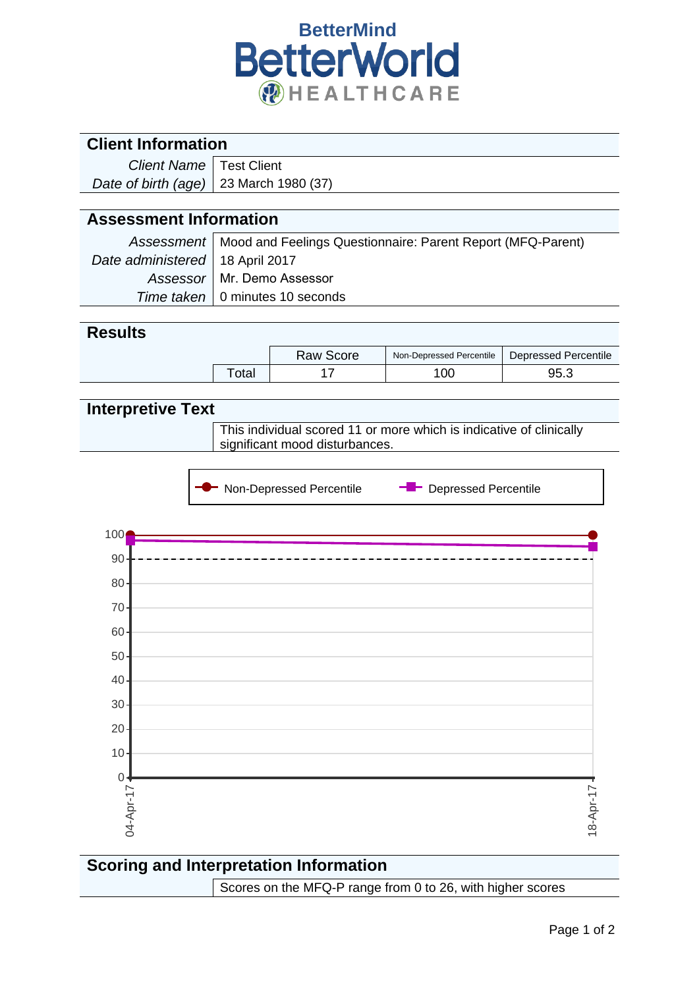

| <b>Client Information</b>     |                                                                                                       |                                                             |                               |                             |  |  |  |  |
|-------------------------------|-------------------------------------------------------------------------------------------------------|-------------------------------------------------------------|-------------------------------|-----------------------------|--|--|--|--|
| <b>Client Name</b>            |                                                                                                       | <b>Test Client</b>                                          |                               |                             |  |  |  |  |
| Date of birth (age)           |                                                                                                       | 23 March 1980 (37)                                          |                               |                             |  |  |  |  |
|                               |                                                                                                       |                                                             |                               |                             |  |  |  |  |
| <b>Assessment Information</b> |                                                                                                       |                                                             |                               |                             |  |  |  |  |
| <b>Assessment</b>             |                                                                                                       | Mood and Feelings Questionnaire: Parent Report (MFQ-Parent) |                               |                             |  |  |  |  |
| Date administered             |                                                                                                       | 18 April 2017                                               |                               |                             |  |  |  |  |
| Assessor                      |                                                                                                       | Mr. Demo Assessor                                           |                               |                             |  |  |  |  |
| Time taken                    |                                                                                                       | 0 minutes 10 seconds                                        |                               |                             |  |  |  |  |
|                               |                                                                                                       |                                                             |                               |                             |  |  |  |  |
| <b>Results</b>                |                                                                                                       |                                                             |                               |                             |  |  |  |  |
|                               |                                                                                                       | <b>Raw Score</b>                                            | Non-Depressed Percentile      | <b>Depressed Percentile</b> |  |  |  |  |
|                               | Total                                                                                                 | 17                                                          | 100                           | 95.3                        |  |  |  |  |
|                               |                                                                                                       |                                                             |                               |                             |  |  |  |  |
| <b>Interpretive Text</b>      |                                                                                                       |                                                             |                               |                             |  |  |  |  |
|                               | This individual scored 11 or more which is indicative of clinically<br>significant mood disturbances. |                                                             |                               |                             |  |  |  |  |
|                               |                                                                                                       |                                                             |                               |                             |  |  |  |  |
|                               |                                                                                                       |                                                             |                               |                             |  |  |  |  |
|                               |                                                                                                       | Non-Depressed Percentile                                    | <b>-</b> Depressed Percentile |                             |  |  |  |  |
|                               |                                                                                                       |                                                             |                               |                             |  |  |  |  |
| 100                           |                                                                                                       |                                                             |                               |                             |  |  |  |  |
| 90                            |                                                                                                       |                                                             |                               |                             |  |  |  |  |
| $80 -$                        |                                                                                                       |                                                             |                               |                             |  |  |  |  |
|                               |                                                                                                       |                                                             |                               |                             |  |  |  |  |
| $70 -$                        |                                                                                                       |                                                             |                               |                             |  |  |  |  |
| 60                            |                                                                                                       |                                                             |                               |                             |  |  |  |  |
| 50                            |                                                                                                       |                                                             |                               |                             |  |  |  |  |
| 40                            |                                                                                                       |                                                             |                               |                             |  |  |  |  |
| 30                            |                                                                                                       |                                                             |                               |                             |  |  |  |  |
| 20                            |                                                                                                       |                                                             |                               |                             |  |  |  |  |
| 10                            |                                                                                                       |                                                             |                               |                             |  |  |  |  |
| $\mathbf 0$                   |                                                                                                       |                                                             |                               |                             |  |  |  |  |
|                               |                                                                                                       |                                                             |                               |                             |  |  |  |  |
| 04-Apr-17                     |                                                                                                       |                                                             |                               | $18 - Apr - 17$             |  |  |  |  |
|                               |                                                                                                       |                                                             |                               |                             |  |  |  |  |

## **Scoring and Interpretation Information** Scores on the MFQ-P range from 0 to 26, with higher scores